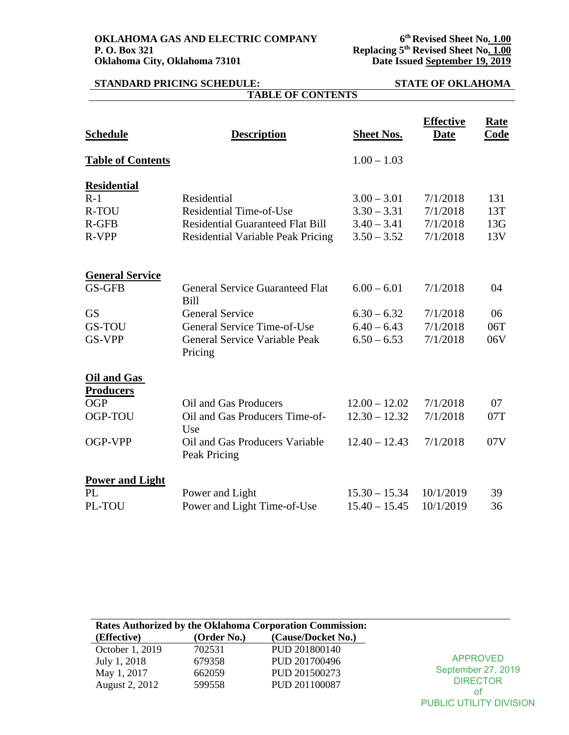**OKLAHOMA GAS AND ELECTRIC COMPANY P. O. Box 321 P. O. Box 321 Replacing 5th Revised Sheet No. 1.00 Oklahoma City, Oklahoma 73101 Date Issued September 19, 2019**

### **STANDARD PRICING SCHEDULE: STATE OF OKLAHOMA TABLE OF CONTENTS**

| <b>Schedule</b>                        | <b>Description</b>                                    | <b>Sheet Nos.</b> | <b>Effective</b><br><b>Date</b> | Rate<br>Code |
|----------------------------------------|-------------------------------------------------------|-------------------|---------------------------------|--------------|
| <b>Table of Contents</b>               |                                                       | $1.00 - 1.03$     |                                 |              |
| <b>Residential</b>                     |                                                       |                   |                                 |              |
| $R-1$                                  | Residential                                           | $3.00 - 3.01$     | 7/1/2018                        | 131          |
| <b>R-TOU</b>                           | <b>Residential Time-of-Use</b>                        | $3.30 - 3.31$     | 7/1/2018                        | 13T          |
| $R$ -GFB                               | <b>Residential Guaranteed Flat Bill</b>               | $3.40 - 3.41$     | 7/1/2018                        | 13G          |
| R-VPP                                  | Residential Variable Peak Pricing                     | $3.50 - 3.52$     | 7/1/2018                        | 13V          |
| <b>General Service</b>                 |                                                       |                   |                                 |              |
| <b>GS-GFB</b>                          | <b>General Service Guaranteed Flat</b><br><b>Bill</b> | $6.00 - 6.01$     | 7/1/2018                        | 04           |
| <b>GS</b>                              | <b>General Service</b>                                | $6.30 - 6.32$     | 7/1/2018                        | 06           |
| GS-TOU                                 | General Service Time-of-Use                           | $6.40 - 6.43$     | 7/1/2018                        | 06T          |
| <b>GS-VPP</b>                          | General Service Variable Peak<br>Pricing              | $6.50 - 6.53$     | 7/1/2018                        | 06V          |
| <b>Oil and Gas</b><br><b>Producers</b> |                                                       |                   |                                 |              |
| <b>OGP</b>                             | Oil and Gas Producers                                 | $12.00 - 12.02$   | 7/1/2018                        | 07           |
| OGP-TOU                                | Oil and Gas Producers Time-of-                        | $12.30 - 12.32$   | 7/1/2018                        | 07T          |
|                                        | Use                                                   |                   |                                 |              |
| OGP-VPP                                | Oil and Gas Producers Variable<br>Peak Pricing        | $12.40 - 12.43$   | 7/1/2018                        | 07V          |
| <b>Power and Light</b>                 |                                                       |                   |                                 |              |
| PL                                     | Power and Light                                       | $15.30 - 15.34$   | 10/1/2019                       | 39           |
| PL-TOU                                 | Power and Light Time-of-Use                           | $15.40 - 15.45$   | 10/1/2019                       | 36           |

| Rates Authorized by the Oklahoma Corporation Commission: |             |                    |                         |
|----------------------------------------------------------|-------------|--------------------|-------------------------|
| (Effective)                                              | (Order No.) | (Cause/Docket No.) |                         |
| October 1, 2019                                          | 702531      | PUD 201800140      |                         |
| July 1, 2018                                             | 679358      | PUD 201700496      | APPROVED                |
| May 1, 2017                                              | 662059      | PUD 201500273      | September 27, 2019      |
| August 2, 2012                                           | 599558      | PUD 201100087      | <b>DIRECTOR</b>         |
|                                                          |             |                    | οt                      |
|                                                          |             |                    | PUBLIC UTILITY DIVISION |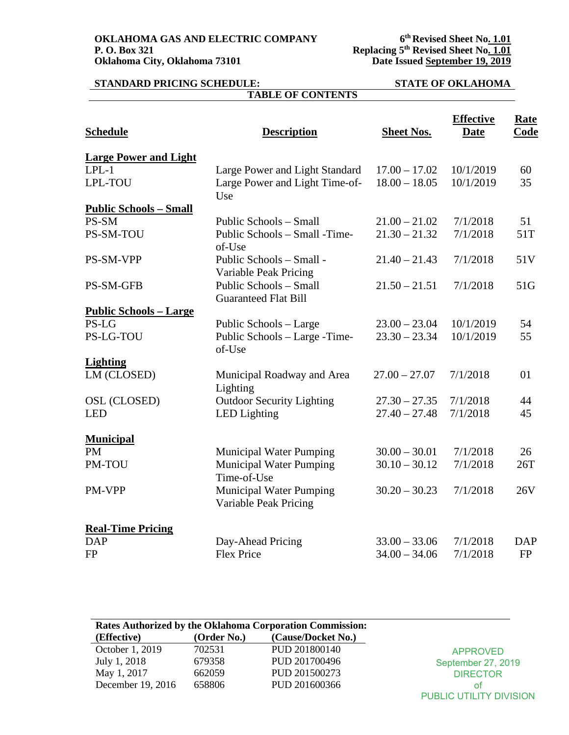**OKLAHOMA GAS AND ELECTRIC COMPANY P. O. Box 321 P. O. Box 321 Replacing 5th Revised Sheet No. 1.01 Oklahoma City, Oklahoma 73101 Date Issued September 19, 2019**

### **STANDARD PRICING SCHEDULE: STATE OF OKLAHOMA TABLE OF CONTENTS**

| <b>Schedule</b>                | <b>Description</b>                                      | <b>Sheet Nos.</b> | <b>Effective</b><br><b>Date</b> | Rate<br><b>Code</b> |
|--------------------------------|---------------------------------------------------------|-------------------|---------------------------------|---------------------|
| <b>Large Power and Light</b>   |                                                         |                   |                                 |                     |
| $LPL-1$                        | Large Power and Light Standard                          | $17.00 - 17.02$   | 10/1/2019                       | 60                  |
| LPL-TOU                        | Large Power and Light Time-of-<br>Use                   | $18.00 - 18.05$   | 10/1/2019                       | 35                  |
| <b>Public Schools - Small</b>  |                                                         |                   |                                 |                     |
| PS-SM                          | Public Schools - Small                                  | $21.00 - 21.02$   | 7/1/2018                        | 51                  |
| PS-SM-TOU                      | Public Schools - Small - Time-<br>of-Use                | $21.30 - 21.32$   | 7/1/2018                        | 51T                 |
| PS-SM-VPP                      | Public Schools - Small -<br>Variable Peak Pricing       | $21.40 - 21.43$   | 7/1/2018                        | 51V                 |
| PS-SM-GFB                      | Public Schools - Small<br><b>Guaranteed Flat Bill</b>   | $21.50 - 21.51$   | 7/1/2018                        | 51G                 |
| <u> Public Schools – Large</u> |                                                         |                   |                                 |                     |
| PS-LG                          | Public Schools - Large                                  | $23.00 - 23.04$   | 10/1/2019                       | 54                  |
| <b>PS-LG-TOU</b>               | Public Schools - Large - Time-<br>of-Use                | $23.30 - 23.34$   | 10/1/2019                       | 55                  |
| <b>Lighting</b>                |                                                         |                   |                                 |                     |
| LM (CLOSED)                    | Municipal Roadway and Area<br>Lighting                  | $27.00 - 27.07$   | 7/1/2018                        | 01                  |
| OSL (CLOSED)                   | <b>Outdoor Security Lighting</b>                        | $27.30 - 27.35$   | 7/1/2018                        | 44                  |
| <b>LED</b>                     | <b>LED</b> Lighting                                     | $27.40 - 27.48$   | 7/1/2018                        | 45                  |
| <b>Municipal</b>               |                                                         |                   |                                 |                     |
| <b>PM</b>                      | <b>Municipal Water Pumping</b>                          | $30.00 - 30.01$   | 7/1/2018                        | 26                  |
| <b>PM-TOU</b>                  | <b>Municipal Water Pumping</b><br>Time-of-Use           | $30.10 - 30.12$   | 7/1/2018                        | 26T                 |
| PM-VPP                         | <b>Municipal Water Pumping</b><br>Variable Peak Pricing | $30.20 - 30.23$   | 7/1/2018                        | 26V                 |
| <b>Real-Time Pricing</b>       |                                                         |                   |                                 |                     |
| <b>DAP</b>                     | Day-Ahead Pricing                                       | $33.00 - 33.06$   | 7/1/2018                        | <b>DAP</b>          |
| <b>FP</b>                      | <b>Flex Price</b>                                       | $34.00 - 34.06$   | 7/1/2018                        | <b>FP</b>           |

| Rates Authorized by the Oklahoma Corporation Commission: |             |                    |                         |
|----------------------------------------------------------|-------------|--------------------|-------------------------|
| (Effective)                                              | (Order No.) | (Cause/Docket No.) |                         |
| October 1, 2019                                          | 702531      | PUD 201800140      | <b>APPROVED</b>         |
| July 1, 2018                                             | 679358      | PUD 201700496      | September 27, 2019      |
| May 1, 2017                                              | 662059      | PUD 201500273      | <b>DIRECTOR</b>         |
| December 19, 2016                                        | 658806      | PUD 201600366      | 0t                      |
|                                                          |             |                    | PUBLIC UTILITY DIVISION |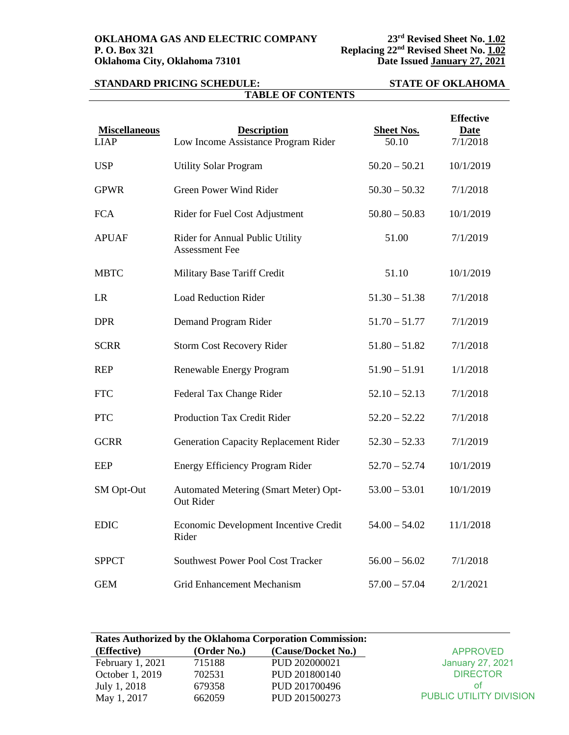### **STANDARD PRICING SCHEDULE: STATE OF OKLAHOMA TABLE OF CONTENTS**

| <b>Miscellaneous</b><br><b>LIAP</b> | <b>Description</b><br>Low Income Assistance Program Rider | <b>Sheet Nos.</b><br>50.10 | <b>Effective</b><br><b>Date</b><br>7/1/2018 |
|-------------------------------------|-----------------------------------------------------------|----------------------------|---------------------------------------------|
| <b>USP</b>                          | <b>Utility Solar Program</b>                              | $50.20 - 50.21$            | 10/1/2019                                   |
| <b>GPWR</b>                         | Green Power Wind Rider                                    | $50.30 - 50.32$            | 7/1/2018                                    |
| <b>FCA</b>                          | Rider for Fuel Cost Adjustment                            | $50.80 - 50.83$            | 10/1/2019                                   |
| <b>APUAF</b>                        | Rider for Annual Public Utility<br><b>Assessment Fee</b>  | 51.00                      | 7/1/2019                                    |
| <b>MBTC</b>                         | Military Base Tariff Credit                               | 51.10                      | 10/1/2019                                   |
| <b>LR</b>                           | <b>Load Reduction Rider</b>                               | $51.30 - 51.38$            | 7/1/2018                                    |
| <b>DPR</b>                          | Demand Program Rider                                      | $51.70 - 51.77$            | 7/1/2019                                    |
| <b>SCRR</b>                         | <b>Storm Cost Recovery Rider</b>                          | $51.80 - 51.82$            | 7/1/2018                                    |
| <b>REP</b>                          | Renewable Energy Program                                  | $51.90 - 51.91$            | 1/1/2018                                    |
| <b>FTC</b>                          | Federal Tax Change Rider                                  | $52.10 - 52.13$            | 7/1/2018                                    |
| <b>PTC</b>                          | Production Tax Credit Rider                               | $52.20 - 52.22$            | 7/1/2018                                    |
| <b>GCRR</b>                         | <b>Generation Capacity Replacement Rider</b>              | $52.30 - 52.33$            | 7/1/2019                                    |
| <b>EEP</b>                          | <b>Energy Efficiency Program Rider</b>                    | $52.70 - 52.74$            | 10/1/2019                                   |
| SM Opt-Out                          | Automated Metering (Smart Meter) Opt-<br>Out Rider        | $53.00 - 53.01$            | 10/1/2019                                   |
| <b>EDIC</b>                         | Economic Development Incentive Credit<br>Rider            | $54.00 - 54.02$            | 11/1/2018                                   |
| <b>SPPCT</b>                        | <b>Southwest Power Pool Cost Tracker</b>                  | $56.00 - 56.02$            | 7/1/2018                                    |
| <b>GEM</b>                          | Grid Enhancement Mechanism                                | $57.00 - 57.04$            | 2/1/2021                                    |

| <b>Rates Authorized by the Oklahoma Corporation Commission:</b> |             |                    |                                |  |
|-----------------------------------------------------------------|-------------|--------------------|--------------------------------|--|
| (Effective)                                                     | (Order No.) | (Cause/Docket No.) | <b>APPROVED</b>                |  |
| February 1, 2021                                                | 715188      | PUD 202000021      | <b>January 27, 2021</b>        |  |
| October 1, 2019                                                 | 702531      | PUD 201800140      | <b>DIRECTOR</b>                |  |
| July 1, 2018                                                    | 679358      | PUD 201700496      | ΩŤ                             |  |
| May 1, 2017                                                     | 662059      | PUD 201500273      | <b>PUBLIC UTILITY DIVISION</b> |  |